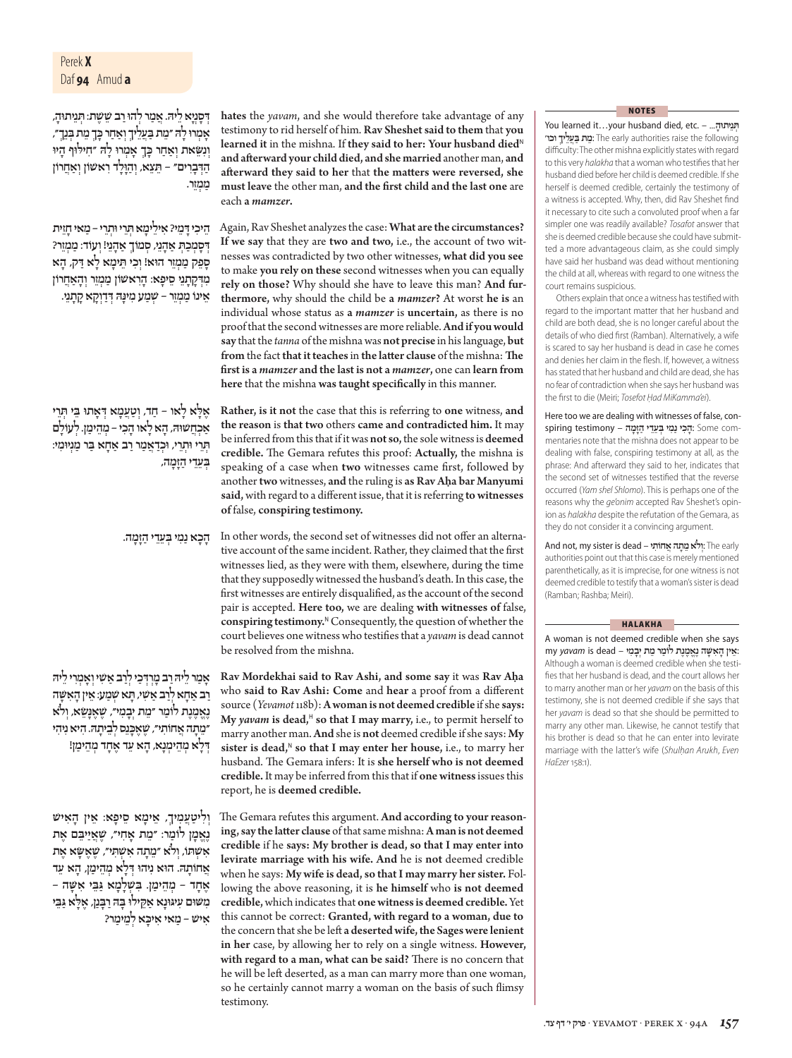| Perek X |               |
|---------|---------------|
|         | Daf 94 Amud a |

**ְ ּדָסְנָיא ֵל ּיה. ֲאַמר ְל ּהוַרב ֵׁשֶׁשת: ְּתֵנ ּ יתוָה, ּכ ְך ֵמת ְּבֵנְך״, ָא ְמ ּרו ָל ּה ֵ״מת ַּבֲעֵל ְיך ְוַאַחרָ ּכ ְך ָא ְמ ּרו ָל ּה ִ״ח ּילּוף ָה ּיו ְוִנֵּׂשאת ְוַאַחר ָ ַהְ ּדָבִרים״ – ֵּתֵצא, ְוַהָּוָלד ִר ׁאשוֹן ְוַאֲחרוֹן ַמ ְמֵזר.**

**ֵה ִיכיָּדֵמי? ִא ֵיל ָימא ְּתֵרי ּו ְתֵרי – ַמאי ָחֵזית ְ ּדָס ְמַכ ְּת ַאָהֵני, ְס ְמוֹך ַאָהֵני! ְועוֹד: ַמ ְמֵזר? ָסֵפק ַמ ְמֵזר ּהוא! ְו ִכי ֵּת ָימא ָלא ַּדק, ָהא ִמְ ּדָקָתֵני ֵס ָיפא: ָהִר ׁאשוֹן ַמ ְמֵזר ְוָהַאֲחרוֹן ֵאינוֹ ַמ ְמֵזר – ׁ ְשַמע ִמ ָּינ ּה ְ ּדַדְוָקא ָקָתֵני.**

**ֶאָּלא ָלאו – ַחד, ְוַטֲעָמא ְ ּדָא ּתו ֵּבי ְּתֵרי ַא ְכֲחׁשּו ּה, ָהא ָלאו ָה ִכי – ְמֵה ַימן. ְל ָעוֹלם ְּתֵרי ּו ְתֵרי, ּו ְכַדֲאַמרַרב ַאָחא ַּבר ַמְנ ּיו ִמי: ְּבֵעֵדי ַהָזָּמה,** 

**ָהָכא ַנִמי ְּבֵעֵדי ַהָזָּמה.**

**ָאַמרֵל ּיהַרב ָמְרְ ּדַכי ְלַרב ַאׁ ִשי ְוָא ְמִרי ֵל ּיה ַרב ַאָחא ְלַרב ַאׁ ִשי, ָּתא ׁ ְשַמע: ֵאין ָה ִאָּׁשה ֶנֱאֶמֶנת ַלוֹמר ֵ״מת ְיָב ִמי״, ֶׁשֶאָּנֵׂשא, ְולֹא ּכֵנס ְלֵב ָית ּה. ִהיא ִנ ִיהי ֵ״מָתהֲא ִחוֹתי״, ֶׁשֶאָ ְ ּדָלא ְמֵה ְימָנא, ָהא ֵעד ֶאָחד ְמֵה ַימן!**

**ְו ִל ַיטֲע ִמ ְיך, ֵא ָימא ֵס ָיפא: ֵאין ָה ִא ׁיש ֶנֱאָמן ַ לוֹמר: ֵ״מת ָא ִחי״, ֶׁשֲאַי ֵּיבם ֶאת ִאׁ ְשּתוֹ, ְולֹא ֵ״מָתה ִאׁ ְשִּתי״, ֶׁשֶא ָּׂשא ֶאת ֲא ָחוֹת ּה. ּהוא ִנ ּ יהו ְ ּדָלא ְמֵה ַימן, ָהא ֵעד ֶאָחד – ְמֵה ַימן. ִּבׁ ְשָלָמא ַּגֵּבי ִאָּׁשה – ִמּׁשּום ִע ּיגּוָנא ַאֵּק ּ ילו ָּב ּהַרָּבַנן, ֶאָּלא ַּגֵּבי ּיכא ְלֵמ ַימר? ִא ׁיש – ַמאי ִא ָ**

**hates** the *yavam*, and she would therefore take advantage of any testimony to rid herself of him. **Rav Sheshet said to them** that **you**  learned it in the mishna. If they said to her: Your husband died<sup>N</sup> **and aft erward your child died, and she married** another man, **and aft erward they said to her** that **the matt ers were reversed, she must leave** the other man, **and the fi rst child and the last one** are each **a** *mamzer***.**

Again, Rav Sheshet analyzes the case: **What are the circumstances? If we say** that they are **two and two,** i.e., the account of two witnesses was contradicted by two other witnesses, **what did you see**  to make **you rely on these** second witnesses when you can equally **rely on those?** Why should she have to leave this man? **And furthermore,** why should the child be **a** *mamzer***?** At worst **he is** an individual whose status as **a** *mamzer* is **uncertain,** as there is no proof that the second witnesses are more reliable. **And if you would say** that the *tanna* of the mishna was **not precise** in his language, **but from** the fact **that it teaches** in **the latt er clause** of the mishna: **Th e fi rst is a** *mamzer* **and the last is not a** *mamzer***,** one can **learn from here** that the mishna **was taught specifi cally** in this manner.

**Rather, is it not** the case that this is referring to **one** witness, **and the reason** is **that two** others **came and contradicted him.** It may be inferred from this that if itwas **not so,** the sole witness is **deemed**  credible. The Gemara refutes this proof: Actually, the mishna is speaking of a case when two witnesses came first, followed by another **two** witnesses, **and** the ruling is **as Rav Aĥa bar Manyumi**  said, with regard to a different issue, that it is referring to witnesses **of** false, **conspiring testimony.**

In other words, the second set of witnesses did not offer an alternative account of the same incident. Rather, they claimed that the first witnesses lied, as they were with them, elsewhere, during the time that they supposedlywitnessed the husband's death. In this case, the first witnesses are entirely disqualified, as the account of the second pair is accepted. **Here too,** we are dealing **with witnesses of** false, conspiring testimony.<sup>N</sup> Consequently, the question of whether the court believes one witness who testifies that a *yavam* is dead cannot be resolved from the mishna.

**Rav Mordekhai said to Rav Ashi, and some say** it was **Rav Aĥa**  who said to Rav Ashi: Come and hear a proof from a different source (*Yevamot* 118b): A woman is not deemed credible if she says: **My** *yavam* is dead,<sup>H</sup> so that I may marry, i.e., to permit herself to marry another man. **And** she is **not** deemed credible if she says: **My sister is dead,<sup>N</sup> so that I may enter her house,** *i.e.***, to marry her** husband. The Gemara infers: It is she herself who is not deemed **credible.** It may be inferred from this that if **one witness** issues this report, he is **deemed credible.**

The Gemara refutes this argument. And according to your reason**ing, say the latt er clause** of that same mishna: **A man is not deemed credible** if he **says: My brother is dead, so that I may enter into levirate marriage with his wife. And** he is **not** deemed credible when he says: **My wife is dead, so that I may marry her sister.** Following the above reasoning, it is **he himself** who **is not deemed credible,** which indicates that **one witness is deemed credible.** Yet this cannot be correct: **Granted, with regard to a woman, due to**  the concern that she be left **a deserted wife, the Sages were lenient in her** case, by allowing her to rely on a single witness. **However,**  with regard to a man, what can be said? There is no concern that he will be left deserted, as a man can marry more than one woman, so he certainly cannot marry a woman on the basis of such flimsy testimony.



 You learned it…your husband died, etc. – **…הָיתו ּ נֵתְּ** following the raise authorities early The **ֵ**:**מת ַּבֲעֵל ְיך וכו׳** difficulty: The other mishna explicitly states with regard to this very *halakha* that a woman who testifies that her husband died before her child is deemed credible. If she herself is deemed credible, certainly the testimony of a witness is accepted. Why, then, did Rav Sheshet find it necessary to cite such a convoluted proof when a far simpler one was readily available? *Tosafot* answer that she is deemed credible because she could have submitted a more advantageous claim, as she could simply have said her husband was dead without mentioning the child at all, whereas with regard to one witness the court remains suspicious.

Others explain that once a witness has testified with regard to the important matter that her husband and child are both dead, she is no longer careful about the details of who died first (Ramban). Alternatively, a wife is scared to say her husband is dead in case he comes and denies her claim in the flesh. If, however, a witness has stated that her husband and child are dead, she has no fear of contradiction when she says her husband was the fi rst to die (Meiri; *Tosefot Ĥad MiKamma'ei*).

 Here too we are dealing with witnesses of false, conspiring testimony – **מהָזָּהַ דיֵעֵבְּ מיִנַ כיִ הָ**: Some commentaries note that the mishna does not appear to be dealing with false, conspiring testimony at all, as the phrase: And afterward they said to her, indicates that the second set of witnesses testified that the reverse occurred (*Yam shel Shlomo*). This is perhaps one of the reasons why the *ge'onim* accepted Rav Sheshet's opinion as *halakha* despite the refutation of the Gemara, as they do not consider it a convincing argument.

 And not, my sister is dead – **חוֹתיִ אֲ תהָמֵ אֹולְ**: The early authorities point out that this case is merely mentioned parenthetically, as it is imprecise, for one witness is not deemed credible to testify that a woman's sister is dead (Ramban; Rashba; Meiri).

# **HALAKHA**

 A woman is not deemed credible when she says **ֵ**:**אין ָה ִאָּׁשה ֶנֱאֶמֶנת ַלוֹמר ֵמת ְיָב ִמי** – dead is *yavam* my Although a woman is deemed credible when she testifies that her husband is dead, and the court allows her to marry another man or her *yavam* on the basis of this testimony, she is not deemed credible if she says that her *yavam* is dead so that she should be permitted to marry any other man. Likewise, he cannot testify that his brother is dead so that he can enter into levirate marriage with the latter's wife (*Shulĥan Arukh*, *Even HaEzer* 158:1).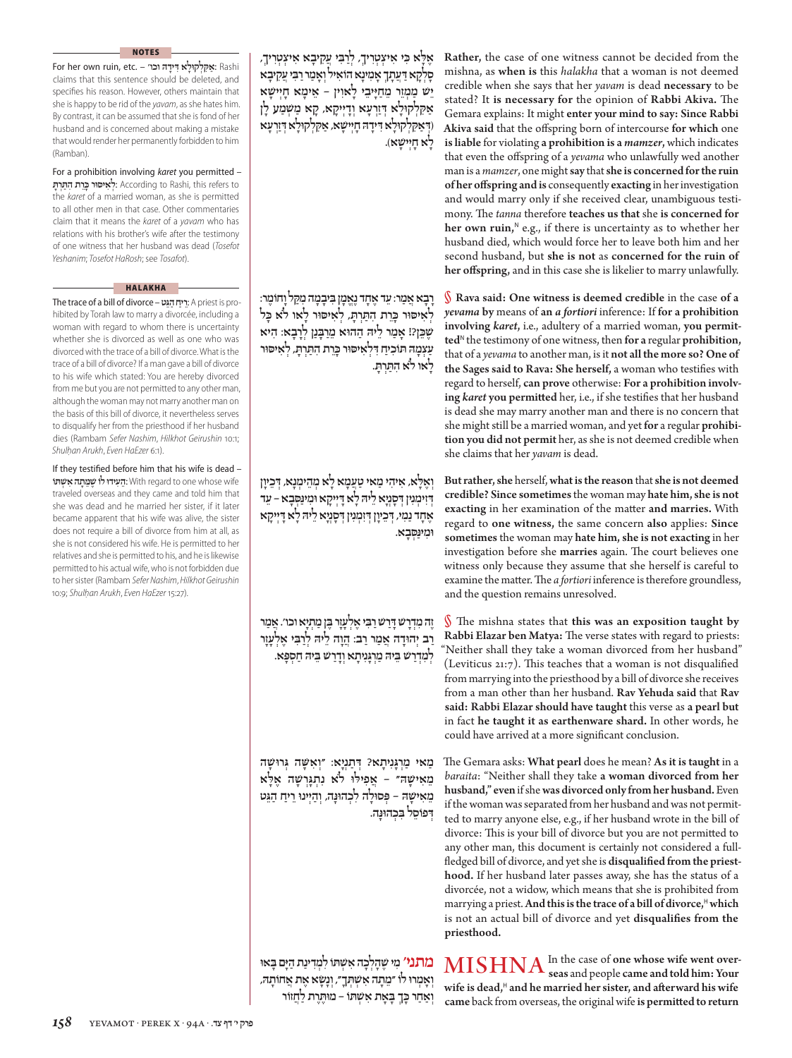## **NOTES**

 Rashi **ַ**:**א ִּקְל ּקוָלא ִ ּד ָיד ּה וכו׳** – .etc ,ruin own her For claims that this sentence should be deleted, and specifies his reason. However, others maintain that she is happy to be rid of the *yavam*, as she hates him. By contrast, it can be assumed that she is fond of her husband and is concerned about making a mistake that would render her permanently forbidden to him (Ramban).

 For a prohibition involving *karet* you permitted – to refers this ,Rashi to According : **ְל ִא ּיסּור ָּכֵרת ִה ַּתְרָּת** the *karet* of a married woman, as she is permitted to all other men in that case. Other commentaries claim that it means the *karet* of a *yavam* who has relations with his brother's wife after the testimony of one witness that her husband was dead (*Tosefot Yeshanim*; *Tosefot HaRosh*; see *Tosafot*).

### **HALAKHA**

 The trace of a bill of divorce – **גטֵּהַ יחרֵ**: A priest is prohibited by Torah law to marry a divorcée, including a woman with regard to whom there is uncertainty whether she is divorced as well as one who was divorced with the trace of a bill of divorce. What is the trace of a bill of divorce? If a man gave a bill of divorce to his wife which stated: You are hereby divorced from me but you are not permitted to any other man, although the woman may not marry another man on the basis of this bill of divorce, it nevertheless serves to disqualify her from the priesthood if her husband dies (Rambam *Sefer Nashim*, *Hilkhot Geirushin* 10:1; *Shulĥan Arukh*, *Even HaEzer* 6:1).

 If they testified before him that his wife is dead – wife whose one to regard With **ֵ**:**ה ִע ּ ידו לוֹ ֶׁשֵּמָתה ִאׁ ְשּתוֹ** traveled overseas and they came and told him that she was dead and he married her sister, if it later became apparent that his wife was alive, the sister does not require a bill of divorce from him at all, as she is not considered his wife. He is permitted to her relatives and she is permitted to his, and he is likewise permitted to his actual wife, who is not forbidden due to her sister (Rambam *Sefer Nashim*, *Hilkhot Geirushin* 10:9; *Shulĥan Arukh*, *Even HaEzer* 15:27).

**ּכי ִא ְיצ ְטִר ְיך, ְלַרִּבי ֲע ִק ָיבא ִא ְיצ ְטִר ְיך, ֶאָּלא ִ ָסְלָקאַּדֲעָת ְך ָא ִמ ָינא ִהוֹאיל ְוָאַמרַרִּביֲעִק ָיבא ֵי ׁש ַמ ְמֵזר ֵמַחָיּ ֵיבי ָל ִאוין – ֵא ָימא ָחְי ָׁ ישא ַא ִּק ְל ּקוָלא ְ ּדַזְרָעא ְוָדְי ָיקא, ָקא ַמׁ ְשַמע ָלן (ְ ּדַא ִּקְל ּקוָלא ִ ּד ָיד ּה ָחְי ָׁ ישא, ַא ִּקְל ּקוָלא ְ ּדַזְרָעא ָלא ָחְי ָׁ ישא).**

**ָרָבאֲאַמר: ֵעד ֶאָחדֶנֱאָמן ִּב ָיבָמה ִמַּקלָו ֶחוֹמר: ּכל ּכֵרת ִה ַּתְרָּת, ְל ִא ּיסּור ָלאו לֹא ָ ְל ִא ּיסּור ָ ּכן?! ָאַמר ֵל ּיה ַה ּהוא ֵמַרָּבַנן ְלָרָבא: ִהיא ֶׁשֵ ּכֵרת ִה ַּתְרָּת, ְל ִא ּיסּור ַע ְצָמ ּה ּת ִוֹכיח ִ ּד ְל ִא ּיסּור ָ ָלאו לֹא ִה ַּתְרָּת.**

**ְוֶאָּלא, ִא ִיהי ַמאי ַטֲעָמא ָלא ְמֵה ְימָנא, ְ ּדֵכָיון ְ ּדִז ְימִנין ְ ּדָסְנָיא ֵל ּיה ָלאָּדְי ָיקא ּו ִמ ַּינְּסָבא – ֵעד ֶאָחד ַנִמי, ְ ּדֵכָיון ְ ּדִז ְמִנין ְ ּדָסְנָיא ֵל ּיה ָלאָּדְי ָיקא ּו ִמ ַּינְּסָבא.**

**ֶזה ִמְדָרׁשָּדַרׁשַרִּבי ֶאְלָעָזרֶּבן ַמ ְתָיא וכו׳. ֲאַמר ַרב ְי ּהוָדה ֲאַמרַרב: ֲהָוה ֵל ּיה ְלַרִּבי ֶאְלָעָזר ְל ִמְדַרׁש ֵּב ּיה ַמְרָּגִנ ָיתא ְוָדַרׁש ֵּב ּיה ַח ְסָּפא.** 

**ַמאי ַמְרָּגִנ ָיתא? ְ ּדַתְנָיא: ְ״ו ִא ָּׁשה ְּג ּרו ָׁשה ֵמ ִא ָׁ יש ּה״ – ֲא ִפ ּיל ּו לֹא ִנ ְתָּגְרָׁשה ֶאָּלא ֵמ ִא ָׁ יש ּה – ְּפ ּסוָלה ִל ְכ ּהוָּנה, ְוַהְי ּ ינוֵריח ַהֵּגט ְ ּד ֵפוֹסל ִּב ְכ ּהוָּנה.**

**Rather,** the case of one witness cannot be decided from the mishna, as **when is** this *halakha* that a woman is not deemed credible when she says that her *yavam* is dead **necessary** to be stated? It is necessary for the opinion of Rabbi Akiva. The Gemara explains: It might **enter your mind to say: Since Rabbi**  Akiva said that the offspring born of intercourse for which one **is liable** for violating **a prohibition is a** *mamzer***,** which indicates that even the offspring of a *yevama* who unlawfully wed another man is a *mamzer*, one might**say** that**she is concerned for the ruin of her off spring and is** consequently **exacting** in her investigation and would marry only if she received clear, unambiguous testimony. The *tanna* therefore **teaches** us that she is concerned for her own ruin,<sup>N</sup> e.g., if there is uncertainty as to whether her husband died, which would force her to leave both him and her second husband, but **she is not** as **concerned for the ruin of her off spring,** and in this case she is likelier to marry unlawfully.

§ **Rava said: One witness is deemed credible** in the case **of a**  *yevama* **by** means of **an** *a fortiori* inference: If **for a prohibition involving** *karet***,** i.e., adultery of a married woman, **you permit**ted<sup>N</sup> the testimony of one witness, then for a regular prohibition, that of a *yevama* to another man, is it **not all the more so? One of**  the Sages said to Rava: She herself, a woman who testifies with regard to herself, **can prove** otherwise: **For a prohibition involv**ing *karet* you permitted her, i.e., if she testifies that her husband is dead she may marry another man and there is no concern that she might still be a married woman, and yet **for** a regular **prohibition you did not permit** her, as she is not deemed credible when she claims that her *yavam* is dead.

**But rather, she** herself, **what is the reason** that**she is not deemed credible? Since sometimes** the woman may **hate him, she is not**  exacting in her examination of the matter and marries. With regard to **one witness,** the same concern **also** applies: **Since sometimes** the woman may **hate him, she is not exacting** in her investigation before she marries again. The court believes one witness only because they assume that she herself is careful to examine the matter. The *a fortiori* inference is therefore groundless, and the question remains unresolved.

§ The mishna states that this was an exposition taught by Rabbi Elazar ben Matya: The verse states with regard to priests: "Neither shall they take a woman divorced from her husband" (Leviticus  $21:7$ ). This teaches that a woman is not disqualified from marrying into the priesthood by a bill of divorce she receives from a man other than her husband. **Rav Yehuda said** that **Rav said: Rabbi Elazar should have taught** this verse as **a pearl but**  in fact **he taught it as earthenware shard.** In other words, he could have arrived at a more significant conclusion.

The Gemara asks: What pearl does he mean? As it is taught in a *baraita*: "Neither shall they take **a woman divorced from her husband," even** if she **was divorced only from her husband.** Even if the woman was separated from her husband and was not permitted to marry anyone else, e.g., if her husband wrote in the bill of divorce: This is your bill of divorce but you are not permitted to any other man, this document is certainly not considered a fullfledged bill of divorce, and yet she is disqualified from the priest**hood.** If her husband later passes away, she has the status of a divorcée, not a widow, which means that she is prohibited from marrying a priest. And this is the trace of a bill of divorce,<sup>H</sup> which is not an actual bill of divorce and yet **disqualifi es from the priesthood.**

**מתני׳** מִי שֶׁהָלְכָה אִשְּׁתּוֹ לִמְדִינַת הַיָּם בָּאוּ<br>ואמרוּ לוֹ ״מתה אשתך״, ונשׂא את אחותה, **ּכ ְך ָּבָאת ִאׁ ְשּתוֹ – ּמו ֶּתֶרת ַלֲחזוֹר ְוַאַחר ָ**

mishna In the case of **one whose wife went over-seas** and people **came and told him: Your**  wife is dead,<sup>H</sup> and he married her sister, and afterward his wife came back from overseas, the original wife is permitted to return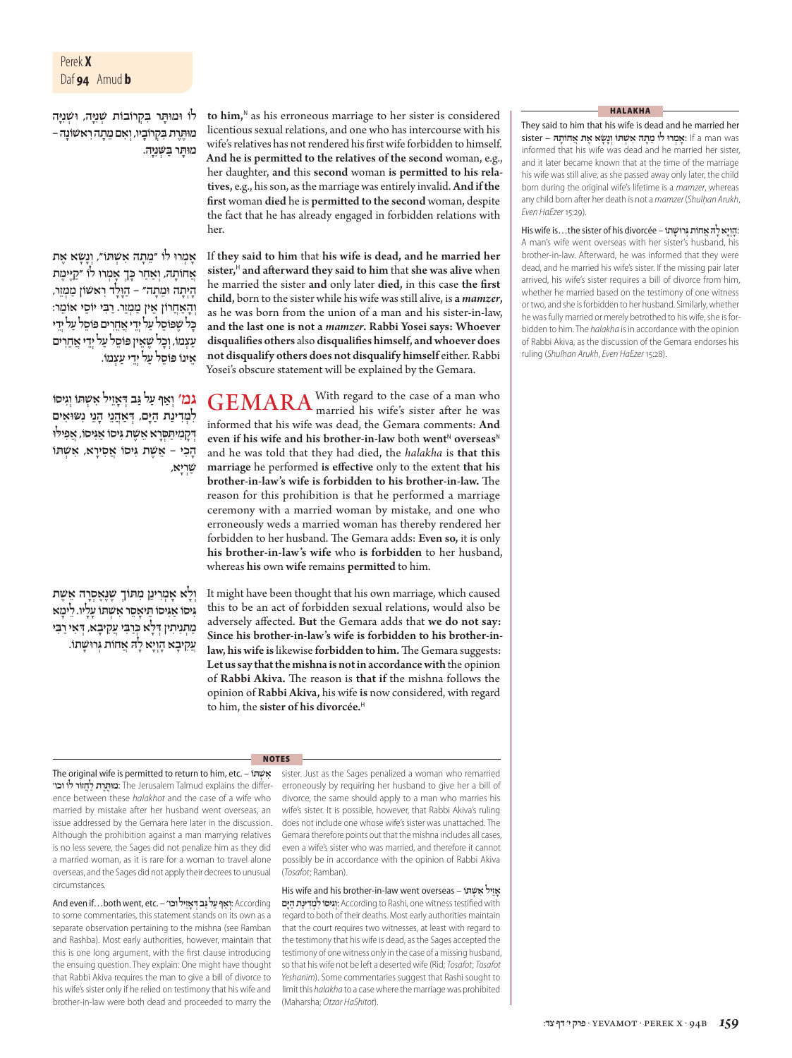**לוֹ ּו ּמו ָּתר ִּב ְקרוֹבוֹת ׁ ְשִנָיּה, ּו ׁ ְשִנָיּה ּמו ֶּתֶרת ִּב ְק ָרוֹביו, ְו ִאם ֵמָתה ִר ׁאש ָוֹנה – ּמו ָּתר ַּבְּׁשִנָיּה.** 

**ָא ְמ ּרו לוֹ ֵ״מָתה ִאׁ ְש ּתוֹ״, ְוָנָׂשא ֶאת ּכ ְך ָא ְמ ּרו לוֹ ַ״קֶיּ ֶימת ֲא ָחוֹת ּה, ְוַאַחר ָ ָהְיָתה ּוֵמָתה״ – ַהָּוָלד ִר ׁאשוֹן ַמ ְמֵזר, ְוָהַאֲחרוֹן ֵאין ַמ ְמֵזר. ַרִּבי ֵ יוֹסי ֵאוֹמר: ּכל ֶׁשּפ ֵוֹסל ַעל ְיֵדיֲאֵחִרים ּפ ֵוֹסל ַעל ְיֵדי ָ ַע ְצמוֹ, ְוָכל ֶׁשֵאין ּפ ֵוֹסל ַעל ְיֵדיֲאֵחִרים ֵאינוֹ ּפ ֵוֹסל ַעל ְיֵדי ַע ְצמוֹ.**

**גמ׳ ְוַאף ַעל ַּגב ְ ּדָאֵזיל ִאׁ ְשּתוֹ ְוִגיסוֹ ִל ְמִד ַינת ַהָיּם, ְ ּדַאֲהֵני ָהֵני ִנּ ׂשּו ִאים ְ ּדָק ִמ ַּיתְּסָרא ֵאֶׁשת ִּגיסוֹ ַאִּגיסוֹ, ֲא ִפ ּילּו ָה ִכי – ֵאֶׁשת ִּגיסוֹ ֲא ִסָירא, ִאׁ ְש ּתוֹ ַׁשְרָיא,**

**ְוָלא ָא ְמִר ַינן ִמ ּת ְוֹך ֶׁשֶּנֶא ְסָרה ֵאֶׁשת ִּגיסוֹ ַאִּגיסוֹ ֵּת ָיאֵסר ִאׁ ְשּתוֹ ָעָליו. ֵל ָימא ּכַרִּביֲעִק ָיבא, ְ ּד ִאיַרִּבי ַמ ְתִנ ִיתין ְ ּדָלא ְ ֲעִק ָיבא ָהְוָיא ָל ּה ֲאחוֹת ְּג ּרו ָׁשתוֹ.**

to him,<sup>N</sup> as his erroneous marriage to her sister is considered licentious sexual relations, and one who has intercourse with his wife's relatives has not rendered his first wife forbidden to himself. And he is permitted to the relatives of the second woman, e.g., her daughter, and this second woman is permitted to his rela**tives,** e.g., his son, as the marriage was entirely invalid. **And if the**  first woman died he is permitted to the second woman, despite the fact that he has already engaged in forbidden relations with her.

If **they said to him** that **his wife is dead, and he married her sister,**<sup>H</sup>**and aft erward they said to him** that **she was alive** when he married the sister **and** only later **died,** in this case **the fi rst child,** born to the sister while his wife was still alive, is **a** *mamzer***,**  as he was born from the union of a man and his sister-in-law, **and the last one is not a** *mamzer***. Rabbi Yosei says: Whoever disqualifi es others** also **disqualifi es himself, and whoever does not disqualify others does not disqualify himself** either. Rabbi Yosei's obscure statement will be explained by the Gemara.

**GEMARA** With regard to the case of a man who married his wife's sister after he was informed that his wife was dead, the Gemara comments: **And even if his wife and his brother-in-law** both went<sup>N</sup> overseas<sup>N</sup> and he was told that they had died, the *halakha* is **that this marriage** he performed **is eff ective** only to the extent **that his**  brother-in-law's wife is forbidden to his brother-in-law. The reason for this prohibition is that he performed a marriage ceremony with a married woman by mistake, and one who erroneously weds a married woman has thereby rendered her forbidden to her husband. The Gemara adds: Even so, it is only **his brother-in-law's wife** who **is forbidden** to her husband, whereas **his** own **wife** remains **permitt ed** to him.

It might have been thought that his own marriage, which caused this to be an act of forbidden sexual relations, would also be adversely affected. But the Gemara adds that we do not say: **Since his brother-in-law's wife is forbidden to his brother-in**law, his wife is likewise forbidden to him. The Gemara suggests: **Let us say that the mishna is not in accordance with** the opinion of Rabbi Akiva. The reason is that if the mishna follows the opinion of **Rabbi Akiva,** his wife **is** now considered, with regard to him, the **sister of his divorcée.**<sup>H</sup>

### **NOTES**

 The original wife is permitted to return to him, etc. – **תוֹּשְ ׁאִ וכו׳ לוֹ חזוֹרֲלַ רתֶתֶּ מוּ** : The Jerusalem Talmud explains the difference between these *halakhot* and the case of a wife who married by mistake after her husband went overseas, an issue addressed by the Gemara here later in the discussion. Although the prohibition against a man marrying relatives is no less severe, the Sages did not penalize him as they did a married woman, as it is rare for a woman to travel alone overseas, and the Sages did not apply their decrees to unusual circumstances.

 According **ְ**:**וַאף ַעלַּגב ְ ּדָאֵזיל וכו׳** – .etc ,went both…if even And to some commentaries, this statement stands on its own as a separate observation pertaining to the mishna (see Ramban and Rashba). Most early authorities, however, maintain that this is one long argument, with the first clause introducing the ensuing question. They explain: One might have thought that Rabbi Akiva requires the man to give a bill of divorce to his wife's sister only if he relied on testimony that his wife and brother-in-law were both dead and proceeded to marry the sister. Just as the Sages penalized a woman who remarried erroneously by requiring her husband to give her a bill of divorce, the same should apply to a man who marries his wife's sister. It is possible, however, that Rabbi Akiva's ruling does not include one whose wife's sister was unattached. The Gemara therefore points out that the mishna includes all cases, even a wife's sister who was married, and therefore it cannot possibly be in accordance with the opinion of Rabbi Akiva (*Tosafot*; Ramban).

 His wife and his brother-in-law went overseas – **תוֹּשְ ׁאִ זילֵאָ** with testified witness one ,Rashi to According **ְ**:**וִגיסוֹ ִל ְמִד ַינת ַהָיּם** regard to both of their deaths. Most early authorities maintain that the court requires two witnesses, at least with regard to the testimony that his wife is dead, as the Sages accepted the testimony of one witness only in the case of a missing husband, so that his wife not be left a deserted wife (Rid; *Tosafot*; *Tosafot Yeshanim*). Some commentaries suggest that Rashi sought to limit this *halakha* to a case where the marriage was prohibited (Maharsha; *Otzar HaShitot*).

#### **HALAKHA**

 They said to him that his wife is dead and he married her was man a If **ָ**:**א ְמ ּרו לוֹ ֵמָתה ִאׁ ְשּתוֹ ְוָנָׂשא ֶאת ֲא ָחוֹת ּה** – sister informed that his wife was dead and he married her sister, and it later became known that at the time of the marriage his wife was still alive, as she passed away only later, the child born during the original wife's lifetime is a *mamzer*, whereas any child born after her death is not a *mamzer* (*Shulĥan Arukh*, *Even HaEzer* 15:29).

**ָ**:**הְוָיאָל ּהֲאחוֹת ְּג ּרוָׁשתוֹ** – divorcée his of sister the…is wife His A man's wife went overseas with her sister's husband, his brother-in-law. Afterward, he was informed that they were dead, and he married his wife's sister. If the missing pair later arrived, his wife's sister requires a bill of divorce from him, whether he married based on the testimony of one witness or two, and she is forbidden to her husband. Similarly, whether he was fully married or merely betrothed to his wife, she is forbidden to him. The *halakha* is in accordance with the opinion of Rabbi Akiva, as the discussion of the Gemara endorses his ruling (*Shulĥan Arukh*, *Even HaEzer* 15:28).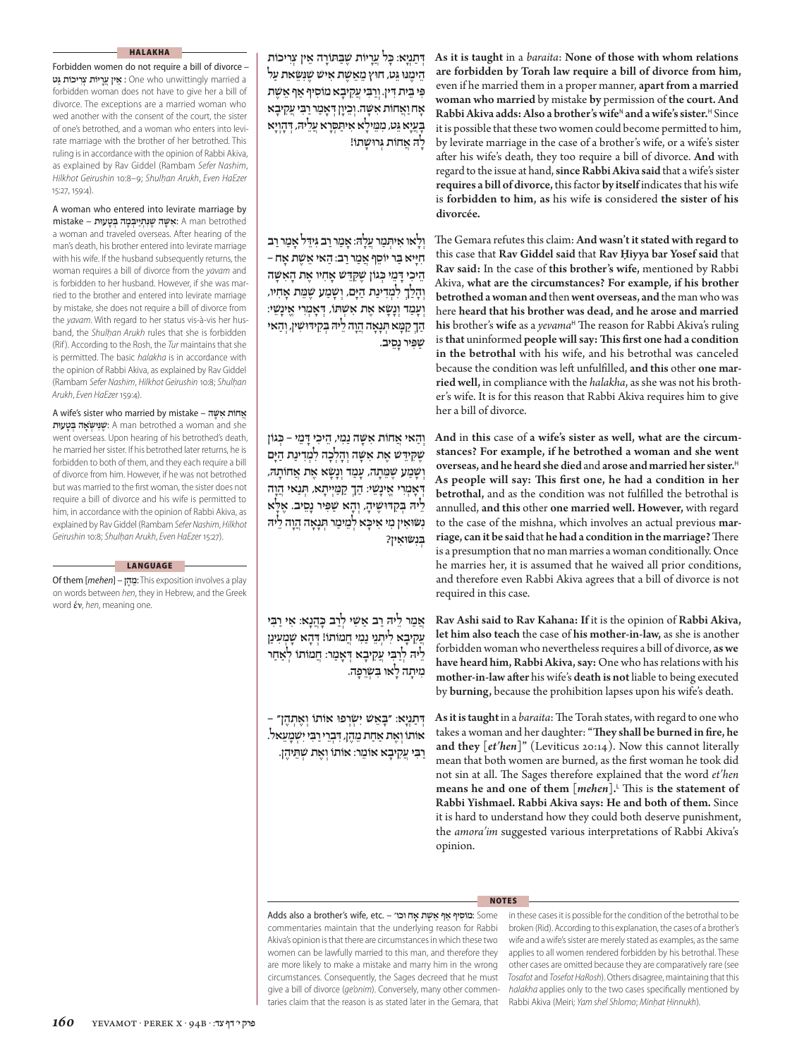# **HALAKHA**

 Forbidden women do not require a bill of divorce – a married unwittingly who One : **ֵאין ֲעָריוֹת ְצִריכוֹת ֵּגט** forbidden woman does not have to give her a bill of divorce. The exceptions are a married woman who wed another with the consent of the court, the sister of one's betrothed, and a woman who enters into levirate marriage with the brother of her betrothed. This ruling is in accordance with the opinion of Rabbi Akiva, as explained by Rav Giddel (Rambam *Sefer Nashim*, *Hilkhot Geirushin* 10:8–9; *Shulĥan Arukh*, *Even HaEzer* 15:27, 159:4).

 A woman who entered into levirate marriage by **ּנְתַי ְּיבָמה ְּבָט ּעות** – mistake betrothed man A : **ִאָּׁשה ֶׁשִ** a woman and traveled overseas. After hearing of the man's death, his brother entered into levirate marriage with his wife. If the husband subsequently returns, the woman requires a bill of divorce from the *yavam* and is forbidden to her husband. However, if she was married to the brother and entered into levirate marriage by mistake, she does not require a bill of divorce from the *yavam*. With regard to her status vis-à-vis her husband, the *Shulĥan Arukh* rules that she is forbidden (Rif ). According to the Rosh, the *Tur* maintains that she is permitted. The basic *halakha* is in accordance with the opinion of Rabbi Akiva, as explained by Rav Giddel (Rambam *Sefer Nashim*, *Hilkhot Geirushin* 10:8; *Shulĥan Arukh*, *Even HaEzer* 159:4).

 A wife's sister who married by mistake – **שהָּׁאִ אחוֹתֲ ּנ ְּ ישָֹאה ְּבָט ּעות ִשֶׁ** : A man betrothed a woman and she went overseas. Upon hearing of his betrothed's death, he married her sister. If his betrothed later returns, he is forbidden to both of them, and they each require a bill of divorce from him. However, if he was not betrothed but was married to the first woman, the sister does not require a bill of divorce and his wife is permitted to him, in accordance with the opinion of Rabbi Akiva, as explained by Rav Giddel (Rambam *Sefer Nashim*, *Hilkhot Geirushin* 10:8; *Shulĥan Arukh*, *Even HaEzer* 15:27).

**LANGUAGE** 

 Of them [*mehen*] – **הןֶמֵ**: This exposition involves a play on words between *hen*, they in Hebrew, and the Greek word έν, *hen*, meaning one.

**ּכל ֲעָריוֹת ֶׁשַּב ּתָוֹרה ֵאין ְצִריכוֹת ְ ּדַתְנָיא: ָ ּנֵּׂשאת ַעל ֵה ֶימּנּוֵּגט, ּחוץ ֵמֵאֶׁשת ִא ׁיש ֶׁשִ ִּפי ֵּבית ִ ּדין. ְוַרִּביֲעִק ָיבא ִמוֹסיף ַאף ֵאֶׁשת ָאחַוֲאחוֹת ִאָּׁשה. ְוֵכָיון ְ ּדָאַמרַרִּביֲעִק ָיבא ָּבֲעָיאֵּגט, ִמ ֵּמ ָילא ִא ַּיתְּסָראֲעֵל ּיה, ְ ּדָהְוָיא ָל ּה ֲאחוֹת ְּג ּרו ָׁשתוֹ!**

**ְוָלאו ִא ְּיתַמרֲעָל ּה: ָאַמרַרב ִּגֵּידל ָאַמרַרב ִחָיּיא ַּבר ֵ יוֹסף ֲאַמרַרב: ַהאי ֵאֶׁשת ָאח – ּכגוֹן ֶׁשִּקֵּד ׁש ָא ִחיו ֶאת ָה ִאָּׁשה ֵה ִיכיָּדֵמי ְ ְוָהַל ְך ִל ְמִד ַינת ַהָיּם, ְו ָׁשַמע ֶׁשֵּמת ָא ִחיו, ְוָעַמד ְוָנָׂשא ֶאת ִאׁ ְשּתוֹ, ְ ּדָא ְמִרי ֱא ָינֵׁשי: ַה ְך ַק ָּמא ְּתָנָאהֲהָוה ֵל ּיה ְּב ִק ּידּו ׁ ִשין, ְוַהאי ַׁשִּפירָנֵסיב.**

**ּכגוֹן ְוַהאי ֲאחוֹת ִאָּׁשה ַנִמי, ֵה ִיכי ָּדֵמי – ְ ֶׁשִּק ֵּיד ׁש ֶאת ִאָּׁשה ְוָה ְלָכה ִל ְמִד ַינת ַהָיּם ְו ָׁשַמע ֶׁשֵּמָתה, ָעַמד ְוָנָׂשא ֶאת ֲא ָחוֹת ּה, ְ ּדָא ְמִרי ֱא ָינֵׁשי: ַה ְך ַק ַּמְי ָיתא, ְּתַנאי ֲהָוה ּלא ֵל ּיה ְּב ִק ּדּו ֶׁש ָיה, ְוָהא ַׁשִּפיר ָנֵסיב. ֶאָ ּיכא ְלֵמ ַימר ְּתָנָאה ֲהָוה ֵל ּיה ִנּ ׂשּו ִאין ִמי ִא ָ ְּבִנּ ׂשּו ִאין?**

**ּכֲהָנא: ִאי ַרִּבי ֲאַמר ֵל ּיה ַרב ַאׁ ִשי ְלַרב ָ ֲעִק ָיבא ִל ְיתֵני ַנִמי ֲחמוֹתוֹ! ְ ּדָהא ָׁשְמ ִע ַינן ֵל ּיה ְלַרִּבי ֲעִק ָיבא ְ ּדָאַמר: ֲחמוֹתוֹ ְלַאַחר ִמ ָיתה ָלאו ִּב ְׂשֵרָפה.**

**ְ ּדַתְנָיא: ָּ״בֵאׁש ִי ְׂשְר ּפו אוֹתוֹ ְוֶא ְתֶהן״ – אוֹתוֹ ְוֶאת ַאַחת ֵמֶהן, ִ ּד ְבֵריַרִּבי ִיׁ ְשָמֵעאל. ַרִּביֲעִק ָיבא ֵאוֹמר: אוֹתוֹ ְוֶאת ׁ ְשֵּת ֶיהן.** **As it is taught** in a *baraita*: **None of those with whom relations are forbidden by Torah law require a bill of divorce from him,**  even if he married them in a proper manner, **apart from a married woman who married** by mistake **by** permission of **the court. And Rabbi Akiva adds: Also a brother's wife<sup>N</sup> and a wife's sister.<sup>H</sup> Since** it is possible that these two women could become permitted to him, by levirate marriage in the case of a brother's wife, or a wife's sister after his wife's death, they too require a bill of divorce. And with regard to the issue at hand, **since Rabbi Akiva said** that a wife's sister **requires a bill of divorce,** this factor **by itself** indicates that his wife is **forbidden to him, as** his wife **is** considered **the sister of his divorcée.**

The Gemara refutes this claim: And wasn't it stated with regard to this case that **Rav Giddel said** that **Rav Ĥiyya bar Yosef said** that **Rav said:** In the case of **this brother's wife,** mentioned by Rabbi Akiva, **what are the circumstances? For example, if his brother betrothed a woman and** then **went overseas, and** the man who was here **heard that his brother was dead, and he arose and married**  his brother's wife as a *yevama*<sup>H</sup> The reason for Rabbi Akiva's ruling is **that** uninformed **people will say: Th is fi rst one had a condition in the betrothal** with his wife, and his betrothal was canceled because the condition was left unfulfilled, and this other one mar**ried well,** in compliance with the *halakha*, as she was not his brother's wife. It is for this reason that Rabbi Akiva requires him to give her a bill of divorce.

**And** in **this** case of **a wife's sister as well, what are the circumstances? For example, if he betrothed a woman and she went overseas, and he heard she died** and **arose and married her sister.**<sup>H</sup> **As people will say: Th is fi rst one, he had a condition in her betrothal,** and as the condition was not fulfilled the betrothal is annulled, **and this** other **one married well. However,** with regard to the case of the mishna, which involves an actual previous **mar**riage, can it be said that he had a condition in the marriage? There is a presumption that no man marries a woman conditionally. Once he marries her, it is assumed that he waived all prior conditions, and therefore even Rabbi Akiva agrees that a bill of divorce is not required in this case.

**Rav Ashi said to Rav Kahana: If** it is the opinion of **Rabbi Akiva, let him also teach** the case of **his mother-in-law,** as she is another forbidden woman who nevertheless requires a bill of divorce, **as we have heard him, Rabbi Akiva, say:** One who has relations with his **mother-in-law aft er** his wife's **death is not** liable to being executed by **burning,** because the prohibition lapses upon his wife's death.

As it is taught in a *baraita*: The Torah states, with regard to one who takes a woman and her daughter: **"Th ey shall be burned in fi re, he**  and they  $[et'hen]'$  (Leviticus 20:14). Now this cannot literally mean that both women are burned, as the first woman he took did not sin at all. The Sages therefore explained that the word et'hen **means he and one of them**  $[mehen]$ .<sup>L</sup> This is the statement of **Rabbi Yishmael. Rabbi Akiva says: He and both of them.** Since it is hard to understand how they could both deserve punishment, the *amora'im* suggested various interpretations of Rabbi Akiva's opinion.

## **NOTES**

 Adds also a brother's wife, etc. – **וכו׳ אחָ שתֶׁאֵ אףַ מוֹסיףִ** : Some commentaries maintain that the underlying reason for Rabbi Akiva's opinion is that there are circumstances in which these two women can be lawfully married to this man, and therefore they are more likely to make a mistake and marry him in the wrong circumstances. Consequently, the Sages decreed that he must give a bill of divorce (*ge'onim*). Conversely, many other commentaries claim that the reason is as stated later in the Gemara, that

in these cases it is possible for the condition of the betrothal to be broken (Rid). According to this explanation, the cases of a brother's wife and a wife's sister are merely stated as examples, as the same applies to all women rendered forbidden by his betrothal. These other cases are omitted because they are comparatively rare (see *Tosafot* and *Tosefot HaRosh*). Others disagree, maintaining that this *halakha* applies only to the two cases specifically mentioned by Rabbi Akiva (Meiri; *Yam shel Shlomo*; *Minĥat Ĥinnukh*).